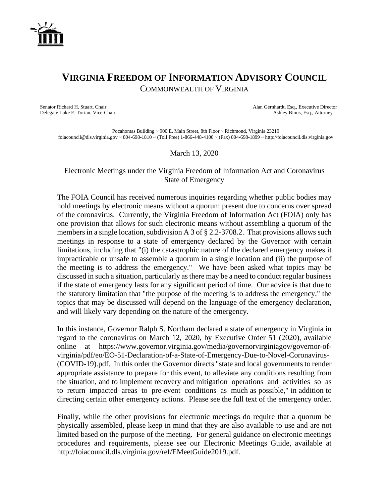

## **VIRGINIA FREEDOM OF INFORMATION ADVISORY COUNCIL** COMMONWEALTH OF VIRGINIA

Delegate Luke E. Torian, Vice-Chair

Senator Richard H. Stuart, Chair (Senator Richard H. Stuart, Chair Alan Gernhardt, Esq., Executive Director (Senator Ashley Binns, Esq., Attorney

Pocahontas Building ~ 900 E. Main Street, 8th Floor ~ Richmond, Virginia 23219 foiacouncil@dls.virginia.gov ~ 804-698-1810 ~ (Toll Free) 1-866-448-4100 ~ (Fax) 804-698-1899 ~ http://foiacouncil.dls.virginia.gov

March 13, 2020

## Electronic Meetings under the Virginia Freedom of Information Act and Coronavirus State of Emergency

The FOIA Council has received numerous inquiries regarding whether public bodies may hold meetings by electronic means without a quorum present due to concerns over spread of the coronavirus. Currently, the Virginia Freedom of Information Act (FOIA) only has one provision that allows for such electronic means without assembling a quorum of the members in a single location, subdivision A 3 of § 2.2-3708.2. That provisions allows such meetings in response to a state of emergency declared by the Governor with certain limitations, including that "(i) the catastrophic nature of the declared emergency makes it impracticable or unsafe to assemble a quorum in a single location and (ii) the purpose of the meeting is to address the emergency." We have been asked what topics may be discussed in such a situation, particularly as there may be a need to conduct regular business if the state of emergency lasts for any significant period of time. Our advice is that due to the statutory limitation that "the purpose of the meeting is to address the emergency," the topics that may be discussed will depend on the language of the emergency declaration, and will likely vary depending on the nature of the emergency.

In this instance, Governor Ralph S. Northam declared a state of emergency in Virginia in regard to the coronavirus on March 12, 2020, by Executive Order 51 (2020), available online at https://www.governor.virginia.gov/media/governorvirginiagov/governor-ofvirginia/pdf/eo/EO-51-Declaration-of-a-State-of-Emergency-Due-to-Novel-Coronavirus- (COVID-19).pdf. In this order the Governor directs "state and local governments to render appropriate assistance to prepare for this event, to alleviate any conditions resulting from the situation, and to implement recovery and mitigation operations and activities so as to return impacted areas to pre-event conditions as much as possible," in addition to directing certain other emergency actions. Please see the full text of the emergency order.

Finally, while the other provisions for electronic meetings do require that a quorum be physically assembled, please keep in mind that they are also available to use and are not limited based on the purpose of the meeting. For general guidance on electronic meetings procedures and requirements, please see our Electronic Meetings Guide, available at http://foiacouncil.dls.virginia.gov/ref/EMeetGuide2019.pdf.